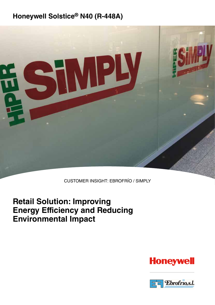### **Honeywell Solstice® N40 (R-448A)**



CUSTOMER INSIGHT: EBROFRÍO / SIMPLY

### **Retail Solution: Improving Energy Efficiency and Reducing Environmental Impact**

## **Honeywell**

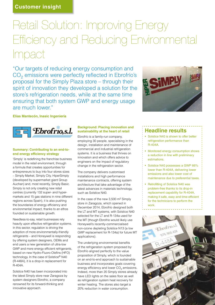# Retail Solution: Improving Energy Efficiency and Reducing Environmental Impact

"Our targets of reducing energy consumption and CO<sub>2</sub> emissions were perfectly reflected in Ebrofrío's proposal for the Simply Plaza store – through their spirit of innovation they developed a solution for the store's refrigeration needs, while at the same time ensuring that both system GWP and energy usage are much lower."



**Elías Mantecón, Inasic Ingeniería**



#### **Summary: Contributing to an end-toend energy efficiency strategy**

'Simply' is redefining the franchise business model in the retail environment, through a formula that creates opportunities for entrepreneurs to buy into four stores sizes – Simply Market, Simply City, HiperSimply (developed by supermarket giant Group Auchan) and, most recently, Simply Basic. Simply is not only creating new retail centres (currently 132 super- and hypermarkets and 15 gas stations in nine different regions across Spain), it is also pushing the boundaries of energy efficiency and environmental impact, thanks to an ethos founded on sustainable growth.

Needless-to-say, retail businesses rely heavily upon effective refrigeration systems. In this sector, regulation is driving the adoption of more environmentally-friendly refrigerants – and Honeywell is responding by offering system designers, OEMs and end users a new generation of ultra-low GWP and more energy efficient refrigerants, based on new Hydro-Fluoro-Olefins (HFO) technology. In the case of Solstice® N40 (R-448A), it is a drop-in replacement for R-404A.

Solstice N40 has been incorporated into the latest Simply store near Zaragoza by system designers Ebrofrío, a company renowned for its forward-thinking and innovative approach.

#### **Background: Placing innovation and sustainability at the heart of retail**

Ebrofrío is a family-run company, employing 30 people, specialising in the design, installation and maintenance of commercial and industrial refrigeration systems. It is a business that thrives on innovation and which offers advice to engineers on the impact of regulatory change in the refrigeration sector.

The company delivers customised installations and high performance maintenance contracts, offering system architecture that take advantage of the latest advances in materials technology, such as Solstice N40.

In the case of the new 3,500 m2 Simply store in Zaragoza, which opened in December 2014, Ebrofrío designed both the LT and MT systems, with Solstice N40 selected for the LT and R-134a used for the MT (though Ebrofrio would likely use Honeywell's recently-commercialised non-ozone depleting Solstice N13 (a low GWP replacement for R-134a) for future MT applications).

The underlying environmental benefits of the refrigeration system proposed by Ebrofrío aligned perfectly to the value proposition of Simply, which is founded on an end-to-end approach to sustainable business and incorporates goals covering energy efficiency and lower  $CO<sub>2</sub>$  emissions. Indeed, more than 20 Simply stores already have LED lights on the sales floor as well as refrigeration system heat recovery for winter heating. The stores also target a 20% reduction in water consumption.

### **Headline results**

- Solstice N40 is shown to offer better refrigeration performance than R-404A.
- Monitored energy consumption shows a reduction in line with preliminary estimations.
- Solstice N40 possesses a GWP 66% lower than R-404A, delivering lower emissions and also lower cost of maintenance due to preferential taxes.
- Retrofitting of Solstice N40 was problem-free thanks to its drop-in replacement capability for R-404A, making it safe, easy and time-efficient for the technicians to perform the work.

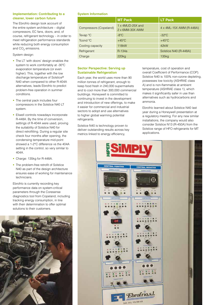#### **Implementation: Contributing to a cleaner, lower carbon future**

The Ebrofrío design took account of the entire system architecture – digital compressors, EC fans, doors, and, of course, refrigerant technology – in order to meet refrigeration performance standards while reducing both energy consumption and  $CO<sub>2</sub>$  emissions.

#### System design:

- The LT 'with doors' design enables the system to work comfortably at -30ºC evaporation temperature (or even higher). This, together with the low discharge temperature of Solstice® N40 when compared to other R-404A alternatives, leads Ebrofrío to predict problem-free operation in summer conditions.
- The central pack includes four compressors in the Solstice N40 LT system.
- Eliwell controls nowadays incorporate R-448A. By the time of conversion, settings of R-404A were used, proving the suitability of Solstice N40 for direct retrofitting. During a regular site check four months after opening, the condensing temperature mid-point showed a 1-2°C difference vs the 404A setting in the control, so very similar to 404A.
- Charge: 135kg for R-448A.
- The problem-free retrofit of Solstice N40 as part of the design architecture ensures ease of working for maintenance technicians.

Ebrofrío is currently recording key performance data on system-critical parameters through the Coresense diagnostics tool from Copeland, including tracking energy consumption, in line with their determination to offer optimal solutions to their customers.



#### **System Information**

|                        | <b>MT Pack</b>                              | <b>LT Pack</b>           |
|------------------------|---------------------------------------------|--------------------------|
| Compressors (Copeland) | 1 x 4MUD-25X and<br>$2 \times 6$ MM-30X AWM | 4 x 4ML-15X AWM (R-448A) |
| Tevap °C               | $-8^{\circ}$ C                              | $-32^{\circ}$ C          |
| Tcond °C               | $+45^{\circ}$ C                             | $+45^{\circ}$ C          |
| Cooling capacity       | <b>118kW</b>                                | 42kW                     |
| Refrigerant            | R-134a                                      | Solstice N40 (R-448A)    |
| Charge                 | 220 <sub>kg</sub>                           | 135 <sub>kg</sub>        |

#### **Sector Perspective: Serving up Sustainable Refrigeration**

Each year, the world uses more than 90 million tonnes of refrigerant, enough to keep food fresh in 240,000 supermarkets and to cool more than 300,000 commercial buildings. Honeywell is committed to continuing to invest in the development and introduction of new offerings, to make it easier for commercial and industrial sectors to adopt and use alternatives to higher global warming potential refrigerants.

Solstice N40 is technology proven to deliver outstanding results across key metrics linked to energy efficiency,

temperature, cost of operation and overall Coefficient of Performance (COP). Solstice N40 is 100% non-ozone depleting, possesses low toxicity (ASHRAE class A) and is non-flammable at ambient temperature (ASHRAE class 1), which makes it significantly safer in use than alternatives such as hydrocarbons and ammonia.

Ebrofrío learned about Solstice N40 last year during a Honeywell presentation at a regulatory meeting. For any new similar installations, the company would also consider Solstice N13 (R-450A) from the Solstice range of HFO refrigerants for MT applications.